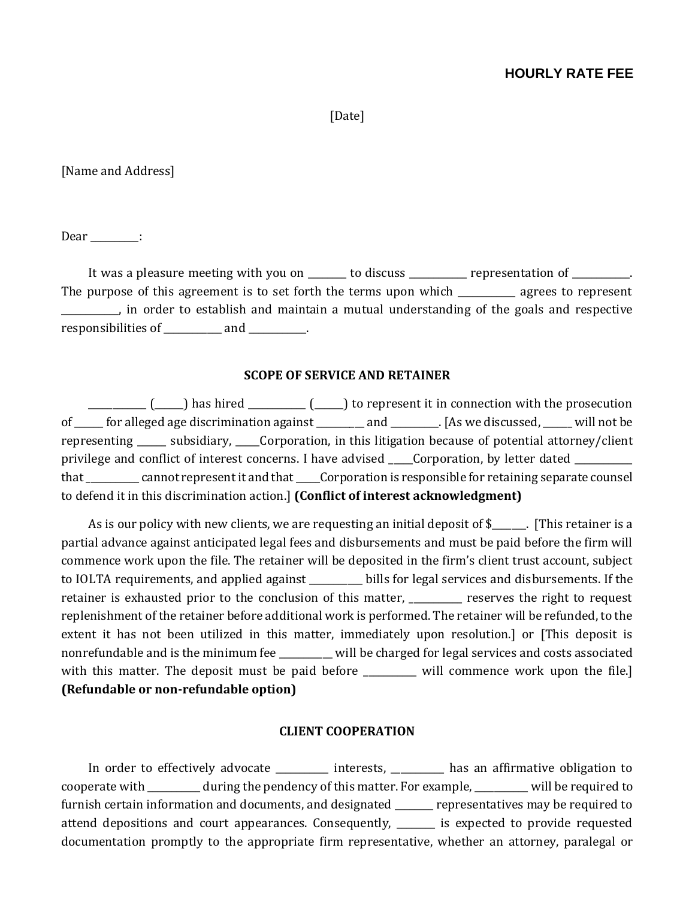## **HOURLY RATE FEE**

[Date]

[Name and Address]

Dear :

It was a pleasure meeting with you on \_\_\_\_\_\_\_ to discuss \_\_\_\_\_\_\_\_\_\_ representation of \_\_\_\_\_\_\_\_\_. The purpose of this agreement is to set forth the terms upon which \_\_\_\_\_\_\_\_\_\_\_\_\_ agrees to represent \_\_\_\_\_\_\_\_\_\_\_\_, in order to establish and maintain a mutual understanding of the goals and respective responsibilities of \_\_\_\_\_\_\_\_\_\_\_\_\_\_\_\_\_\_\_\_\_.

#### **SCOPE OF SERVICE AND RETAINER**

 $\begin{pmatrix} \begin{pmatrix} 1 & 1 \end{pmatrix}$  has hired  $\begin{pmatrix} 1 & 1 \end{pmatrix}$  to represent it in connection with the prosecution of \_\_\_\_\_ for alleged age discrimination against \_\_\_\_\_\_\_\_ and \_\_\_\_\_\_\_\_. [As we discussed, \_\_\_\_\_ will not be representing \_\_\_\_\_\_ subsidiary, \_\_\_\_\_Corporation, in this litigation because of potential attorney/client privilege and conflict of interest concerns. I have advised corporation, by letter dated that that cannot represent it and that Corporation is responsible for retaining separate counsel to defend it in this discrimination action.] **(Conflict of interest acknowledgment)** 

As is our policy with new clients, we are requesting an initial deposit of \$\_\_\_\_\_. [This retainer is a partial advance against anticipated legal fees and disbursements and must be paid before the firm will commence work upon the file. The retainer will be deposited in the firm's client trust account, subject to IOLTA requirements, and applied against \_\_\_\_\_\_\_\_\_\_\_ bills for legal services and disbursements. If the retainer is exhausted prior to the conclusion of this matter, \_\_\_\_\_\_\_\_\_\_ reserves the right to request replenishment of the retainer before additional work is performed. The retainer will be refunded, to the extent it has not been utilized in this matter, immediately upon resolution.] or [This deposit is nonrefundable and is the minimum fee \_\_\_\_\_\_\_\_\_\_\_ will be charged for legal services and costs associated with this matter. The deposit must be paid before \_\_\_\_\_\_\_\_ will commence work upon the file.] **(Refundable or non-refundable option)**

#### **CLIENT COOPERATION**

In order to effectively advocate \_\_\_\_\_\_\_\_\_ interests, \_\_\_\_\_\_\_\_\_ has an affirmative obligation to cooperate with \_\_\_\_\_\_\_\_\_\_\_ during the pendency of this matter. For example, \_\_\_\_\_\_\_\_\_\_\_ will be required to furnish certain information and documents, and designated \_\_\_\_\_\_\_ representatives may be required to attend depositions and court appearances. Consequently, \_\_\_\_\_\_\_\_ is expected to provide requested documentation promptly to the appropriate firm representative, whether an attorney, paralegal or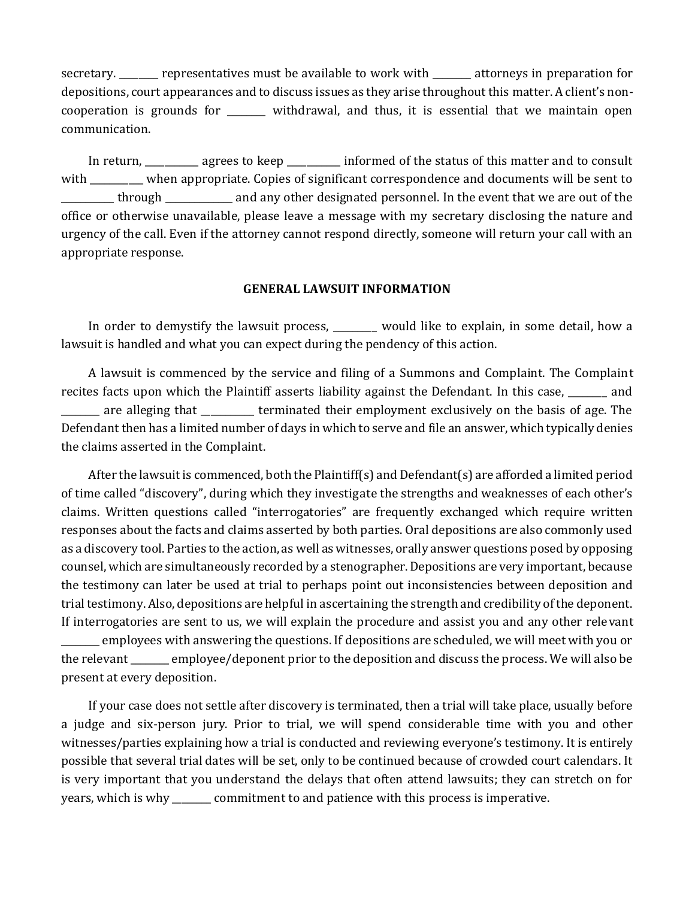secretary. \_\_\_\_\_\_ representatives must be available to work with \_\_\_\_\_\_\_ attorneys in preparation for depositions, court appearances and to discuss issues as they arise throughout this matter. A client's noncooperation is grounds for \_\_\_\_\_\_\_\_ withdrawal, and thus, it is essential that we maintain open communication.

In return, \_\_\_\_\_\_\_\_\_\_ agrees to keep \_\_\_\_\_\_\_\_\_ informed of the status of this matter and to consult with \_\_\_\_\_\_\_\_\_\_ when appropriate. Copies of significant correspondence and documents will be sent to \_\_\_\_\_\_\_\_\_\_\_ through \_\_\_\_\_\_\_\_\_\_\_\_\_\_ and any other designated personnel. In the event that we are out of the office or otherwise unavailable, please leave a message with my secretary disclosing the nature and urgency of the call. Even if the attorney cannot respond directly, someone will return your call with an appropriate response.

#### **GENERAL LAWSUIT INFORMATION**

In order to demystify the lawsuit process, would like to explain, in some detail, how a lawsuit is handled and what you can expect during the pendency of this action.

A lawsuit is commenced by the service and filing of a Summons and Complaint. The Complaint recites facts upon which the Plaintiff asserts liability against the Defendant. In this case, and \_\_\_\_\_\_\_\_ are alleging that \_\_\_\_\_\_\_\_\_\_\_ terminated their employment exclusively on the basis of age. The Defendant then has a limited number of days in which to serve and file an answer, which typically denies the claims asserted in the Complaint.

After the lawsuit is commenced, both the Plaintiff(s) and Defendant(s) are afforded a limited period of time called "discovery", during which they investigate the strengths and weaknesses of each other's claims. Written questions called "interrogatories" are frequently exchanged which require written responses about the facts and claims asserted by both parties. Oral depositions are also commonly used as a discovery tool. Parties to the action, as well as witnesses, orally answer questions posed by opposing counsel, which are simultaneously recorded by a stenographer. Depositions are very important, because the testimony can later be used at trial to perhaps point out inconsistencies between deposition and trial testimony. Also, depositions are helpful in ascertaining the strength and credibility of the deponent. If interrogatories are sent to us, we will explain the procedure and assist you and any other relevant \_\_\_\_\_\_\_\_ employees with answering the questions. If depositions are scheduled, we will meet with you or the relevant employee/deponent prior to the deposition and discuss the process. We will also be present at every deposition.

If your case does not settle after discovery is terminated, then a trial will take place, usually before a judge and six-person jury. Prior to trial, we will spend considerable time with you and other witnesses/parties explaining how a trial is conducted and reviewing everyone's testimony. It is entirely possible that several trial dates will be set, only to be continued because of crowded court calendars. It is very important that you understand the delays that often attend lawsuits; they can stretch on for years, which is why \_\_\_\_\_\_\_\_ commitment to and patience with this process is imperative.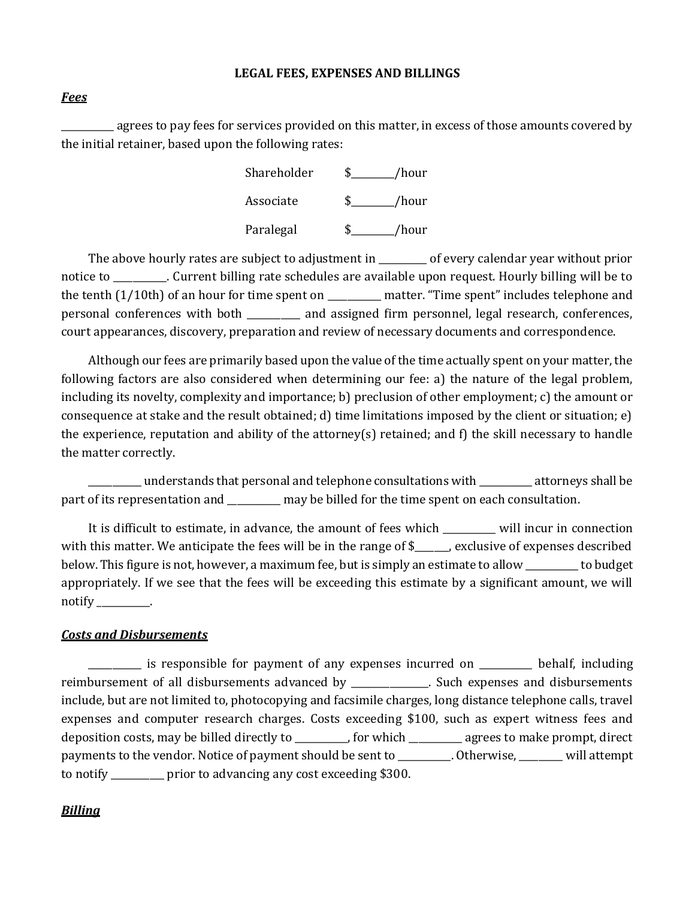#### **LEGAL FEES, EXPENSES AND BILLINGS**

### *Fees*

agrees to pay fees for services provided on this matter, in excess of those amounts covered by the initial retainer, based upon the following rates:

> Shareholder \$\_\_\_\_\_\_\_\_\_/hour Associate  $\qquad$  \$ /hour Paralegal  $\qquad$  \$ /hour

The above hourly rates are subject to adjustment in The of every calendar year without prior notice to \_\_\_\_\_\_\_\_\_\_\_. Current billing rate schedules are available upon request. Hourly billing will be to the tenth (1/10th) of an hour for time spent on \_\_\_\_\_\_\_\_\_\_\_ matter. "Time spent" includes telephone and personal conferences with both \_\_\_\_\_\_\_\_\_\_\_ and assigned firm personnel, legal research, conferences, court appearances, discovery, preparation and review of necessary documents and correspondence.

Although our fees are primarily based upon the value of the time actually spent on your matter, the following factors are also considered when determining our fee: a) the nature of the legal problem, including its novelty, complexity and importance; b) preclusion of other employment; c) the amount or consequence at stake and the result obtained; d) time limitations imposed by the client or situation; e) the experience, reputation and ability of the attorney(s) retained; and f) the skill necessary to handle the matter correctly.

\_\_\_\_\_\_\_\_\_\_\_ understands that personal and telephone consultations with \_\_\_\_\_\_\_\_\_\_\_ attorneys shall be part of its representation and \_\_\_\_\_\_\_\_ may be billed for the time spent on each consultation.

It is difficult to estimate, in advance, the amount of fees which \_\_\_\_\_\_\_\_\_\_\_ will incur in connection with this matter. We anticipate the fees will be in the range of \$\_\_\_\_\_, exclusive of expenses described below. This figure is not, however, a maximum fee, but is simply an estimate to allow \_\_\_\_\_\_\_\_\_\_\_ to budget appropriately. If we see that the fees will be exceeding this estimate by a significant amount, we will notify  $\_\_\_\_\_\_\_\_\$ .

## *Costs and Disbursements*

\_\_\_\_\_\_\_\_\_\_\_ is responsible for payment of any expenses incurred on \_\_\_\_\_\_\_\_\_\_\_ behalf, including reimbursement of all disbursements advanced by expenses and disbursements include, but are not limited to, photocopying and facsimile charges, long distance telephone calls, travel expenses and computer research charges. Costs exceeding \$100, such as expert witness fees and deposition costs, may be billed directly to \_\_\_\_\_\_\_\_\_\_\_, for which \_\_\_\_\_\_\_\_\_\_\_ agrees to make prompt, direct payments to the vendor. Notice of payment should be sent to \_\_\_\_\_\_\_\_\_\_\_. Otherwise, \_\_\_\_\_\_\_\_\_ will attempt to notify \_\_\_\_\_\_\_\_\_\_\_ prior to advancing any cost exceeding \$300.

## *Billing*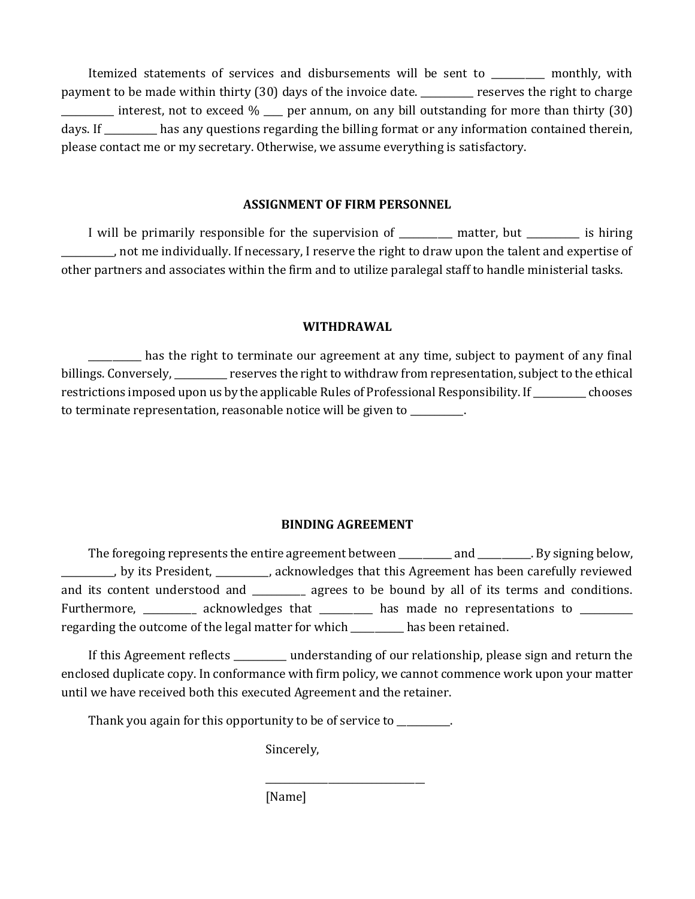Itemized statements of services and disbursements will be sent to \_\_\_\_\_\_\_\_\_\_\_ monthly, with payment to be made within thirty (30) days of the invoice date. The reserves the right to charge \_\_\_\_\_\_\_\_\_\_\_ interest, not to exceed % \_\_\_\_ per annum, on any bill outstanding for more than thirty (30) days. If \_\_\_\_\_\_\_\_\_\_\_ has any questions regarding the billing format or any information contained therein, please contact me or my secretary. Otherwise, we assume everything is satisfactory.

### **ASSIGNMENT OF FIRM PERSONNEL**

I will be primarily responsible for the supervision of Ten are matter, but is hiring \_\_\_\_\_\_\_\_\_\_\_, not me individually. If necessary, I reserve the right to draw upon the talent and expertise of other partners and associates within the firm and to utilize paralegal staff to handle ministerial tasks.

## **WITHDRAWAL**

\_\_\_\_\_\_\_\_\_\_\_ has the right to terminate our agreement at any time, subject to payment of any final billings. Conversely, extending reserves the right to withdraw from representation, subject to the ethical restrictions imposed upon us by the applicable Rules of Professional Responsibility. If \_\_\_\_\_\_\_\_\_\_\_ chooses to terminate representation, reasonable notice will be given to \_\_\_\_\_\_\_\_\_\_\_.

# **BINDING AGREEMENT**

The foregoing represents the entire agreement between \_\_\_\_\_\_\_\_\_\_ and \_\_\_\_\_\_\_\_. By signing below, LICT UPS Agreement has been carefully reviewed by its President, LICR acknowledges that this Agreement has been carefully reviewed and its content understood and \_\_\_\_\_\_\_\_\_ agrees to be bound by all of its terms and conditions. Furthermore, \_\_\_\_\_\_\_\_\_\_ acknowledges that \_\_\_\_\_\_\_\_\_ has made no representations to \_\_\_\_\_\_\_\_\_ regarding the outcome of the legal matter for which \_\_\_\_\_\_\_\_\_\_\_ has been retained.

If this Agreement reflects \_\_\_\_\_\_\_\_\_\_\_ understanding of our relationship, please sign and return the enclosed duplicate copy. In conformance with firm policy, we cannot commence work upon your matter until we have received both this executed Agreement and the retainer.

\_\_\_\_\_\_\_\_\_\_\_\_\_\_\_\_\_\_\_\_\_\_\_\_\_\_\_\_\_\_\_\_\_

Thank you again for this opportunity to be of service to \_\_\_\_\_\_\_\_.

Sincerely,

[Name]